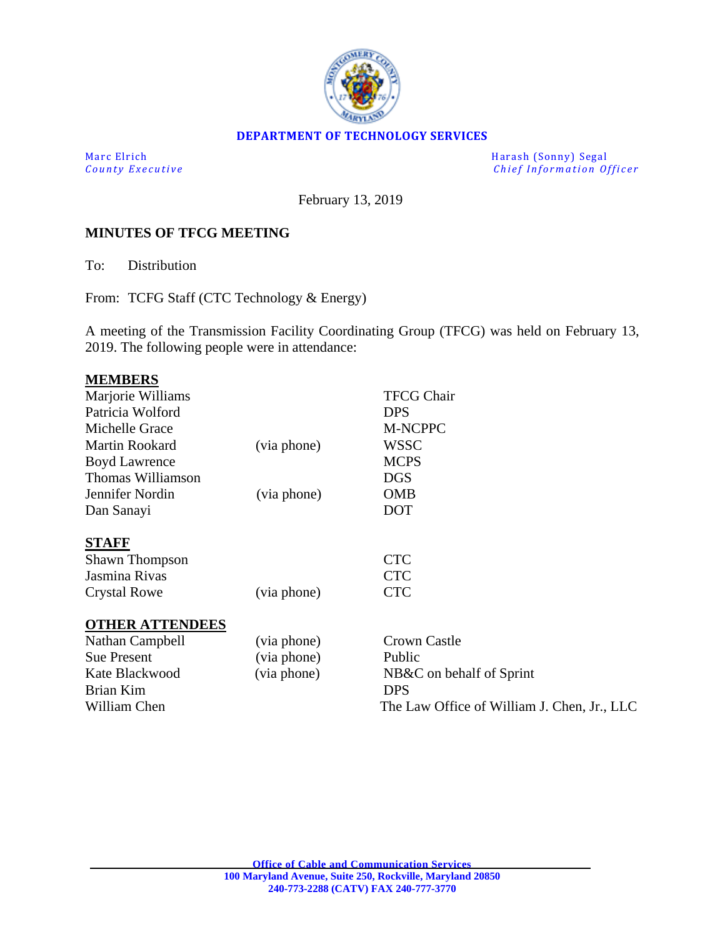

#### **DEPARTMENT OF TECHNOLOGY SERVICES**

Marc Elrich Harash (Sonny) Segal<br>
County Executive Chief Information Of *Chief Information Officer* 

February 13, 2019

#### **MINUTES OF TFCG MEETING**

To: Distribution

From: TCFG Staff (CTC Technology & Energy)

A meeting of the Transmission Facility Coordinating Group (TFCG) was held on February 13, 2019. The following people were in attendance:

|             | <b>TFCG Chair</b>                           |
|-------------|---------------------------------------------|
|             | <b>DPS</b>                                  |
|             | M-NCPPC                                     |
| (via phone) | WSSC                                        |
|             | <b>MCPS</b>                                 |
|             | <b>DGS</b>                                  |
| (via phone) | <b>OMB</b>                                  |
|             | <b>DOT</b>                                  |
|             |                                             |
|             | <b>CTC</b>                                  |
|             | <b>CTC</b>                                  |
| (via phone) | <b>CTC</b>                                  |
|             |                                             |
| (via phone) | <b>Crown Castle</b>                         |
| (via phone) | Public                                      |
| (via phone) | NB&C on behalf of Sprint                    |
|             | <b>DPS</b>                                  |
|             | The Law Office of William J. Chen, Jr., LLC |
|             |                                             |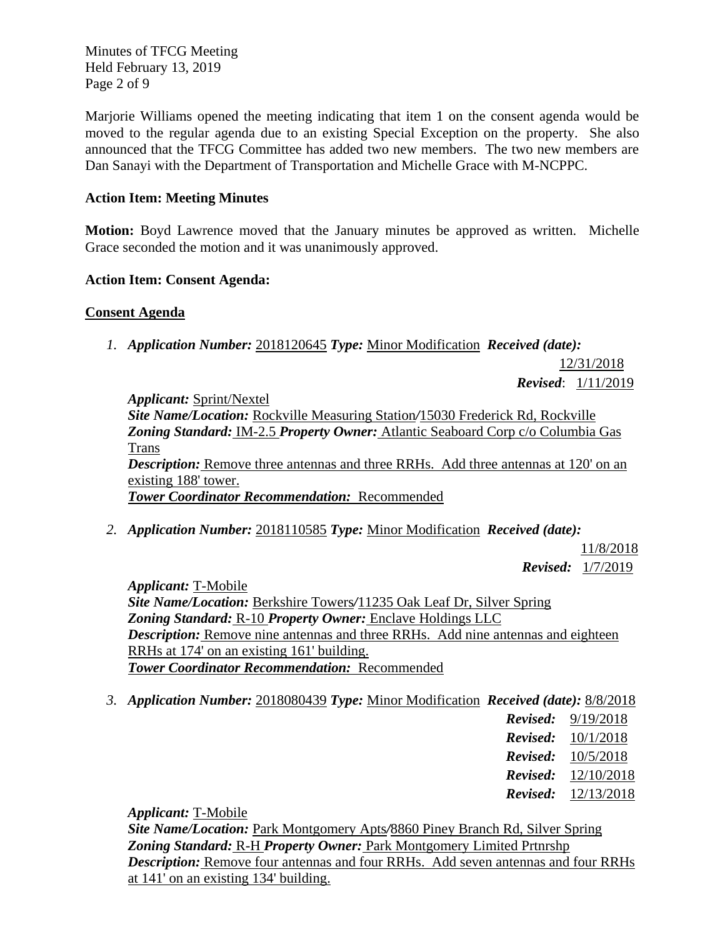Minutes of TFCG Meeting Held February 13, 2019 Page 2 of 9

Marjorie Williams opened the meeting indicating that item 1 on the consent agenda would be moved to the regular agenda due to an existing Special Exception on the property. She also announced that the TFCG Committee has added two new members. The two new members are Dan Sanayi with the Department of Transportation and Michelle Grace with M-NCPPC.

### **Action Item: Meeting Minutes**

**Motion:** Boyd Lawrence moved that the January minutes be approved as written. Michelle Grace seconded the motion and it was unanimously approved.

#### **Action Item: Consent Agenda:**

#### **Consent Agenda**

*1. Application Number:* 2018120645 *Type:* Minor Modification *Received (date):* 

12/31/2018 *Revised*: 1/11/2019

*Applicant:* Sprint/Nextel *Site Name/Location:* Rockville Measuring Station*/*15030 Frederick Rd, Rockville *Zoning Standard:* IM-2.5 *Property Owner:* Atlantic Seaboard Corp c/o Columbia Gas Trans *Description:* Remove three antennas and three RRHs. Add three antennas at 120' on an existing 188' tower. *Tower Coordinator Recommendation:* Recommended

*2. Application Number:* 2018110585 *Type:* Minor Modification *Received (date):* 

11/8/2018 *Revised:* 1/7/2019

*Applicant:* T-Mobile *Site Name/Location:* Berkshire Towers*/*11235 Oak Leaf Dr, Silver Spring *Zoning Standard:* R-10 *Property Owner:* Enclave Holdings LLC *Description:* Remove nine antennas and three RRHs. Add nine antennas and eighteen RRHs at 174' on an existing 161' building. *Tower Coordinator Recommendation:* Recommended

*3. Application Number:* 2018080439 *Type:* Minor Modification *Received (date):* 8/8/2018

| 9/19/2018  |
|------------|
| 10/1/2018  |
| 10/5/2018  |
| 12/10/2018 |
| 12/13/2018 |
|            |

*Applicant:* T-Mobile

*Site Name/Location:* Park Montgomery Apts*/*8860 Piney Branch Rd, Silver Spring *Zoning Standard:* R-H *Property Owner:* Park Montgomery Limited Prtnrshp *Description:* Remove four antennas and four RRHs. Add seven antennas and four RRHs at 141' on an existing 134' building.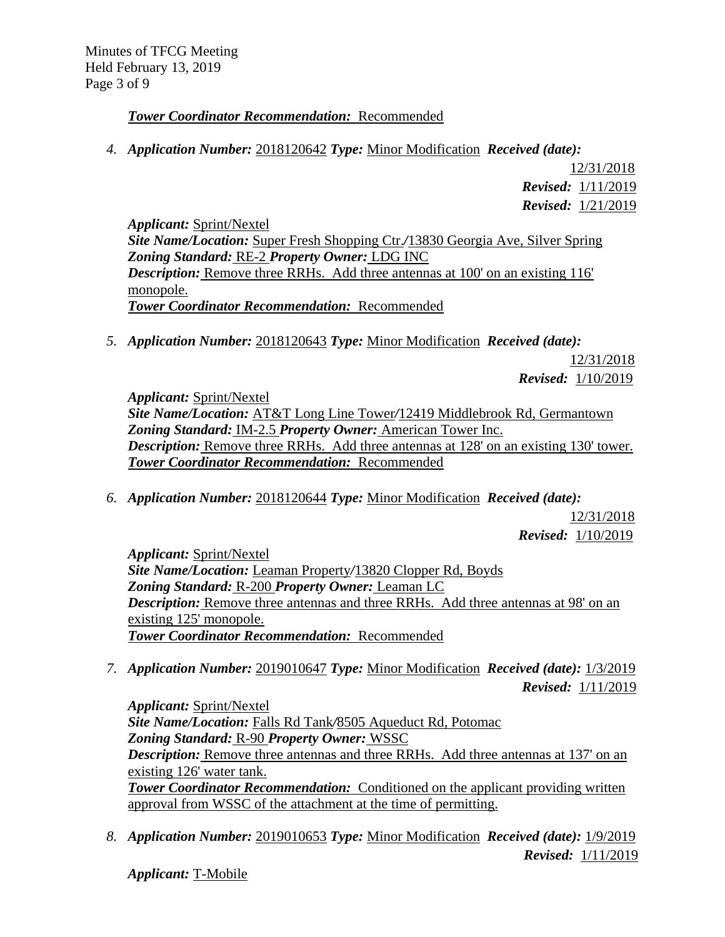## *Tower Coordinator Recommendation:* Recommended

*4. Application Number:* 2018120642 *Type:* Minor Modification *Received (date):* 

12/31/2018  *Revised:* 1/11/2019  *Revised:* 1/21/2019

*Applicant:* Sprint/Nextel *Site Name/Location:* Super Fresh Shopping Ctr.*/*13830 Georgia Ave, Silver Spring *Zoning Standard:* RE-2 *Property Owner:* LDG INC *Description:* Remove three RRHs. Add three antennas at 100' on an existing 116' monopole. *Tower Coordinator Recommendation:* Recommended

*5. Application Number:* 2018120643 *Type:* Minor Modification *Received (date):* 

12/31/2018  *Revised:* 1/10/2019

*Applicant:* Sprint/Nextel *Site Name/Location:* AT&T Long Line Tower*/*12419 Middlebrook Rd, Germantown *Zoning Standard:* IM-2.5 *Property Owner:* American Tower Inc. *Description:* Remove three RRHs. Add three antennas at 128' on an existing 130' tower. *Tower Coordinator Recommendation:* Recommended

*6. Application Number:* 2018120644 *Type:* Minor Modification *Received (date):* 

12/31/2018  *Revised:* 1/10/2019

*Applicant:* Sprint/Nextel *Site Name/Location:* Leaman Property*/*13820 Clopper Rd, Boyds *Zoning Standard:* R-200 *Property Owner:* Leaman LC *Description:* Remove three antennas and three RRHs. Add three antennas at 98' on an existing 125' monopole. *Tower Coordinator Recommendation:* Recommended

*7. Application Number:* 2019010647 *Type:* Minor Modification *Received (date):* 1/3/2019  *Revised:* 1/11/2019

*Applicant:* Sprint/Nextel *Site Name/Location:* Falls Rd Tank*/*8505 Aqueduct Rd, Potomac *Zoning Standard:* R-90 *Property Owner:* WSSC *Description:* Remove three antennas and three RRHs. Add three antennas at 137' on an existing 126' water tank. **Tower Coordinator Recommendation:** Conditioned on the applicant providing written approval from WSSC of the attachment at the time of permitting.

*8. Application Number:* 2019010653 *Type:* Minor Modification *Received (date):* 1/9/2019  *Revised:* 1/11/2019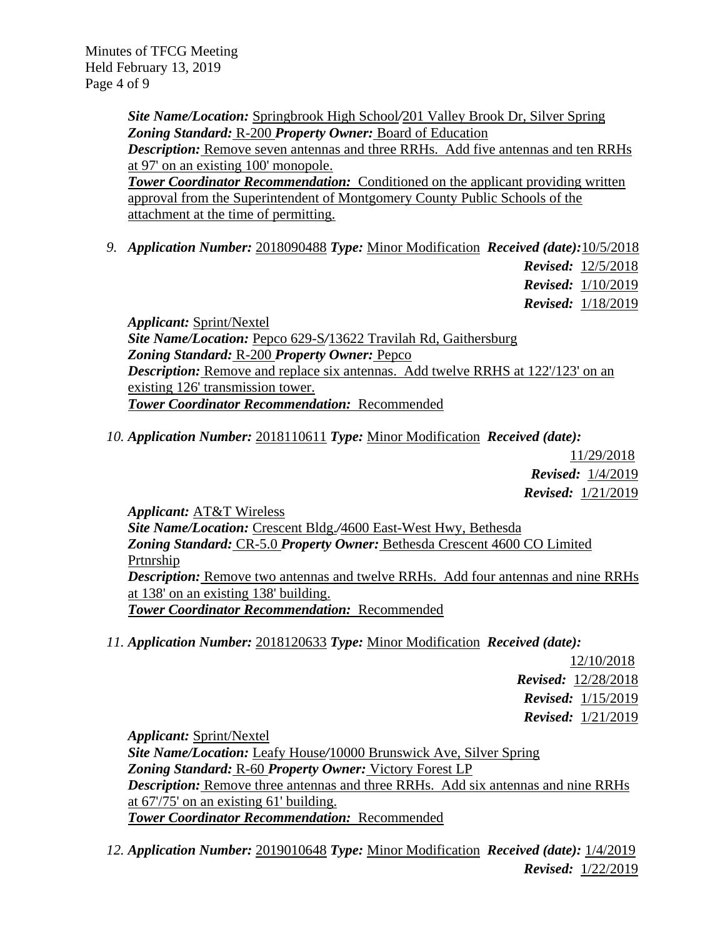*Site Name/Location:* Springbrook High School*/*201 Valley Brook Dr, Silver Spring *Zoning Standard:* R-200 *Property Owner:* Board of Education *Description:* Remove seven antennas and three RRHs. Add five antennas and ten RRHs at 97' on an existing 100' monopole. **Tower Coordinator Recommendation:** Conditioned on the applicant providing written

approval from the Superintendent of Montgomery County Public Schools of the attachment at the time of permitting.

*9. Application Number:* 2018090488 *Type:* Minor Modification *Received (date):*10/5/2018

 *Revised:* 12/5/2018  *Revised:* 1/10/2019  *Revised:* 1/18/2019

*Applicant:* Sprint/Nextel *Site Name/Location:* Pepco 629-S*/*13622 Travilah Rd, Gaithersburg *Zoning Standard:* R-200 *Property Owner:* Pepco *Description:* Remove and replace six antennas. Add twelve RRHS at 122/123' on an existing 126' transmission tower. *Tower Coordinator Recommendation:* Recommended

*10. Application Number:* 2018110611 *Type:* Minor Modification *Received (date):* 

11/29/2018  *Revised:* 1/4/2019  *Revised:* 1/21/2019

*Applicant:* AT&T Wireless *Site Name/Location:* Crescent Bldg.*/*4600 East-West Hwy, Bethesda *Zoning Standard:* CR-5.0 *Property Owner:* Bethesda Crescent 4600 CO Limited Prtnrship *Description:* Remove two antennas and twelve RRHs. Add four antennas and nine RRHs at 138' on an existing 138' building. *Tower Coordinator Recommendation:* Recommended

*11. Application Number:* 2018120633 *Type:* Minor Modification *Received (date):* 

12/10/2018 *Revised:* 12/28/2018  *Revised:* 1/15/2019  *Revised:* 1/21/2019

*Applicant:* Sprint/Nextel *Site Name/Location:* Leafy House*/*10000 Brunswick Ave, Silver Spring *Zoning Standard:* R-60 *Property Owner:* Victory Forest LP *Description:* Remove three antennas and three RRHs. Add six antennas and nine RRHs at 67'/75' on an existing 61' building. *Tower Coordinator Recommendation:* Recommended

*12. Application Number:* 2019010648 *Type:* Minor Modification *Received (date):* 1/4/2019  *Revised:* 1/22/2019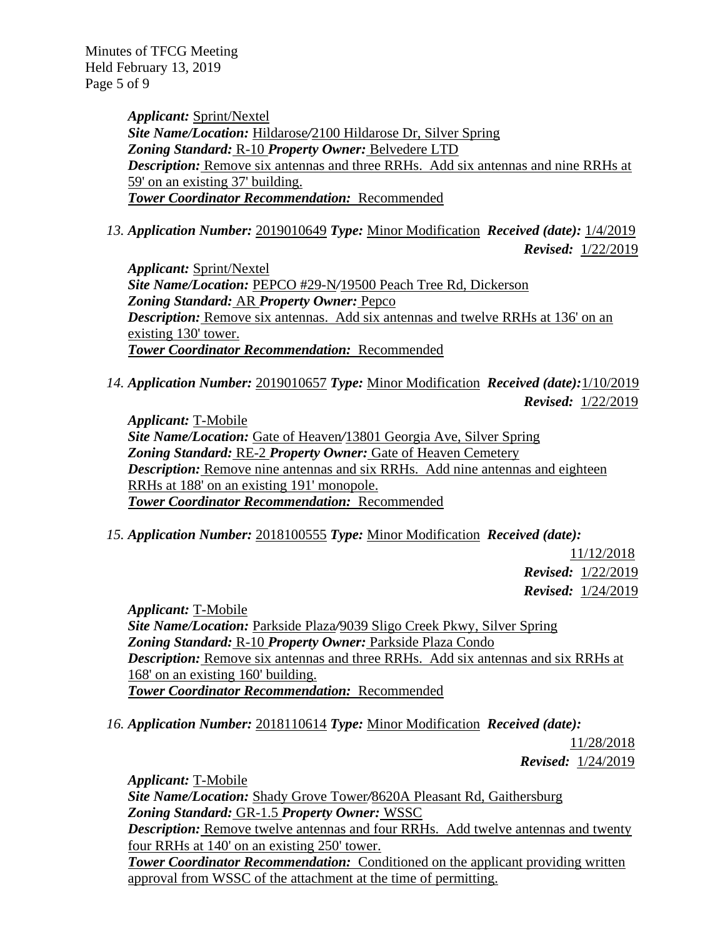Minutes of TFCG Meeting Held February 13, 2019 Page 5 of 9

> *Applicant:* Sprint/Nextel *Site Name/Location:* Hildarose*/*2100 Hildarose Dr, Silver Spring *Zoning Standard:* R-10 *Property Owner:* Belvedere LTD *Description:* Remove six antennas and three RRHs. Add six antennas and nine RRHs at 59' on an existing 37' building. *Tower Coordinator Recommendation:* Recommended

*13. Application Number:* 2019010649 *Type:* Minor Modification *Received (date):* 1/4/2019

 *Revised:* 1/22/2019

*Applicant:* Sprint/Nextel *Site Name/Location:* PEPCO #29-N*/*19500 Peach Tree Rd, Dickerson *Zoning Standard:* AR *Property Owner:* Pepco *Description:* Remove six antennas. Add six antennas and twelve RRHs at 136' on an existing 130' tower. *Tower Coordinator Recommendation:* Recommended

*14. Application Number:* 2019010657 *Type:* Minor Modification *Received (date):*1/10/2019  *Revised:* 1/22/2019

*Applicant:* T-Mobile *Site Name/Location:* Gate of Heaven*/*13801 Georgia Ave, Silver Spring *Zoning Standard:* RE-2 *Property Owner:* Gate of Heaven Cemetery *Description:* Remove nine antennas and six RRHs. Add nine antennas and eighteen RRHs at 188' on an existing 191' monopole. *Tower Coordinator Recommendation:* Recommended

*15. Application Number:* 2018100555 *Type:* Minor Modification *Received (date):* 

11/12/2018  *Revised:* 1/22/2019  *Revised:* 1/24/2019

*Applicant:* T-Mobile *Site Name/Location:* Parkside Plaza*/*9039 Sligo Creek Pkwy, Silver Spring *Zoning Standard:* R-10 *Property Owner:* Parkside Plaza Condo *Description:* Remove six antennas and three RRHs. Add six antennas and six RRHs at 168' on an existing 160' building. *Tower Coordinator Recommendation:* Recommended

*16. Application Number:* 2018110614 *Type:* Minor Modification *Received (date):* 

11/28/2018 *Revised:* 1/24/2019

*Applicant:* T-Mobile *Site Name/Location:* Shady Grove Tower*/*8620A Pleasant Rd, Gaithersburg *Zoning Standard:* GR-1.5 *Property Owner:* WSSC *Description:* Remove twelve antennas and four RRHs. Add twelve antennas and twenty four RRHs at 140' on an existing 250' tower. **Tower Coordinator Recommendation:** Conditioned on the applicant providing written approval from WSSC of the attachment at the time of permitting.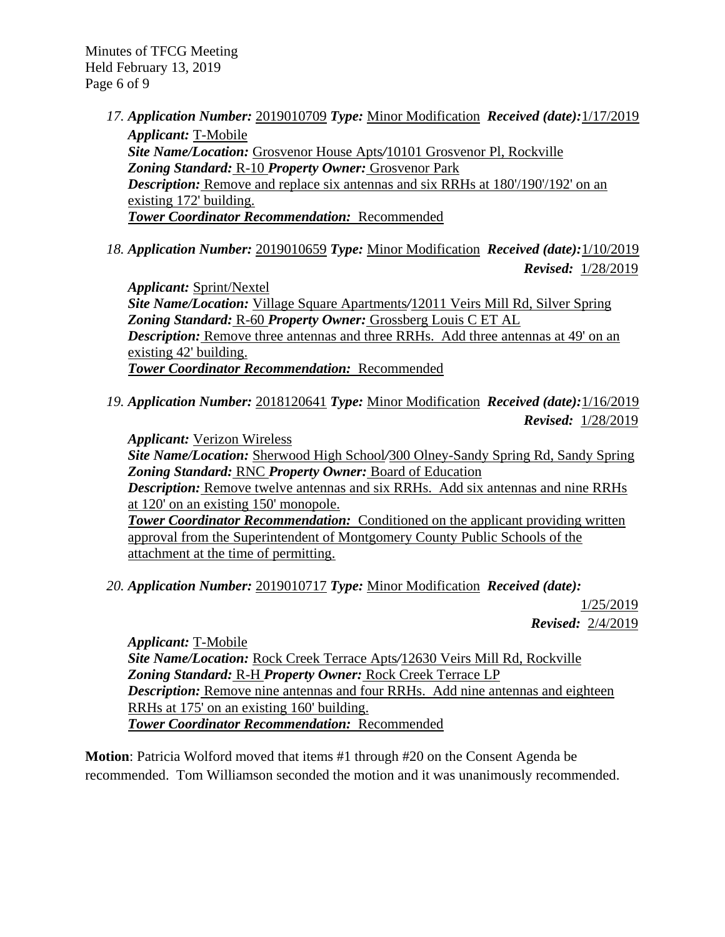Minutes of TFCG Meeting Held February 13, 2019 Page 6 of 9

- *17. Application Number:* 2019010709 *Type:* Minor Modification *Received (date):*1/17/2019 *Applicant:* T-Mobile *Site Name/Location:* Grosvenor House Apts*/*10101 Grosvenor Pl, Rockville *Zoning Standard:* R-10 *Property Owner:* Grosvenor Park *Description:* Remove and replace six antennas and six RRHs at 180'/190'/192' on an existing 172' building. *Tower Coordinator Recommendation:* Recommended
- *18. Application Number:* 2019010659 *Type:* Minor Modification *Received (date):*1/10/2019  *Revised:* 1/28/2019

*Applicant:* Sprint/Nextel *Site Name/Location:* Village Square Apartments*/*12011 Veirs Mill Rd, Silver Spring *Zoning Standard:* R-60 *Property Owner:* Grossberg Louis C ET AL *Description:* Remove three antennas and three RRHs. Add three antennas at 49' on an existing 42' building. *Tower Coordinator Recommendation:* Recommended

*19. Application Number:* 2018120641 *Type:* Minor Modification *Received (date):*1/16/2019  *Revised:* 1/28/2019

*Applicant:* Verizon Wireless *Site Name/Location:* Sherwood High School*/*300 Olney-Sandy Spring Rd, Sandy Spring *Zoning Standard:* RNC *Property Owner:* Board of Education *Description:* Remove twelve antennas and six RRHs. Add six antennas and nine RRHs at 120' on an existing 150' monopole. **Tower Coordinator Recommendation:** Conditioned on the applicant providing written approval from the Superintendent of Montgomery County Public Schools of the attachment at the time of permitting.

*20. Application Number:* 2019010717 *Type:* Minor Modification *Received (date):* 

1/25/2019  *Revised:* 2/4/2019

*Applicant:* T-Mobile *Site Name/Location:* Rock Creek Terrace Apts*/*12630 Veirs Mill Rd, Rockville *Zoning Standard:* R-H *Property Owner:* Rock Creek Terrace LP *Description:* Remove nine antennas and four RRHs. Add nine antennas and eighteen RRHs at 175' on an existing 160' building. *Tower Coordinator Recommendation:* Recommended

**Motion**: Patricia Wolford moved that items #1 through #20 on the Consent Agenda be recommended. Tom Williamson seconded the motion and it was unanimously recommended.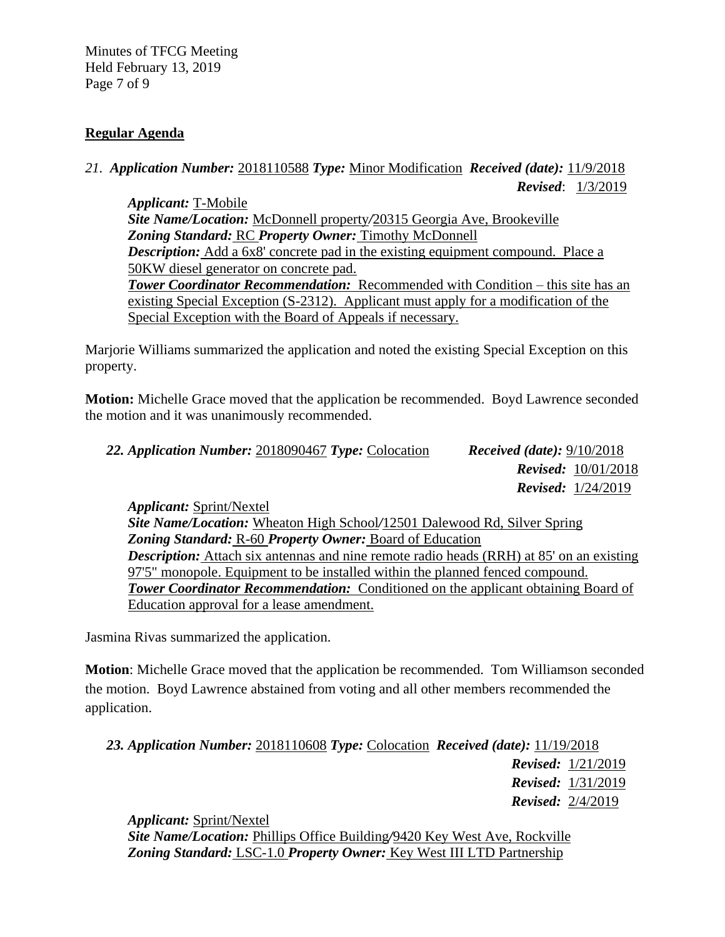Minutes of TFCG Meeting Held February 13, 2019 Page 7 of 9

#### **Regular Agenda**

*21. Application Number:* 2018110588 *Type:* Minor Modification *Received (date):* 11/9/2018 *Revised*: 1/3/2019

*Applicant:* T-Mobile *Site Name/Location:* McDonnell property*/*20315 Georgia Ave, Brookeville *Zoning Standard:* RC *Property Owner:* Timothy McDonnell *Description:* Add a 6x8' concrete pad in the existing equipment compound. Place a 50KW diesel generator on concrete pad. *Tower Coordinator Recommendation:* Recommended with Condition – this site has an existing Special Exception (S-2312). Applicant must apply for a modification of the Special Exception with the Board of Appeals if necessary.

Marjorie Williams summarized the application and noted the existing Special Exception on this property.

**Motion:** Michelle Grace moved that the application be recommended. Boyd Lawrence seconded the motion and it was unanimously recommended.

| 22. Application Number: 2018090467 Type: Colocation | <i>Received (date):</i> $9/10/2018$ |  |  |
|-----------------------------------------------------|-------------------------------------|--|--|
|                                                     | <b>Revised:</b> $10/01/2018$        |  |  |
|                                                     | <b>Revised:</b> $1/24/2019$         |  |  |
| Applicant: Sprint/Nextel                            |                                     |  |  |

*Applicant:* Sprint/Nextel *Site Name/Location:* Wheaton High School*/*12501 Dalewood Rd, Silver Spring *Zoning Standard:* R-60 *Property Owner:* Board of Education *Description:* Attach six antennas and nine remote radio heads (RRH) at 85' on an existing 97'5" monopole. Equipment to be installed within the planned fenced compound. **Tower Coordinator Recommendation:** Conditioned on the applicant obtaining Board of Education approval for a lease amendment.

Jasmina Rivas summarized the application.

**Motion**: Michelle Grace moved that the application be recommended. Tom Williamson seconded the motion. Boyd Lawrence abstained from voting and all other members recommended the application.

*23. Application Number:* 2018110608 *Type:* Colocation *Received (date):* 11/19/2018 *Revised:* 1/21/2019 *Revised:* 1/31/2019 *Revised:* 2/4/2019

*Applicant:* Sprint/Nextel

*Site Name/Location:* Phillips Office Building*/*9420 Key West Ave, Rockville *Zoning Standard:* LSC-1.0 *Property Owner:* Key West III LTD Partnership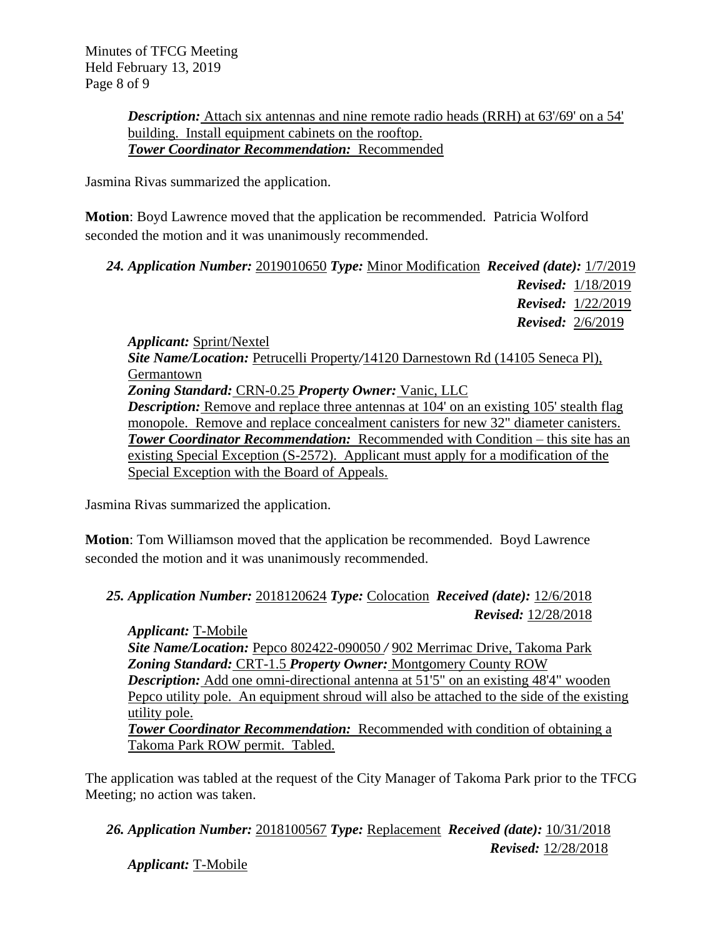*Description:* Attach six antennas and nine remote radio heads (RRH) at 63'/69' on a 54' building. Install equipment cabinets on the rooftop. *Tower Coordinator Recommendation:* Recommended

Jasmina Rivas summarized the application.

**Motion**: Boyd Lawrence moved that the application be recommended. Patricia Wolford seconded the motion and it was unanimously recommended.

| 24. Application Number: 2019010650 Type: Minor Modification Received (date): 1/7/2019 |  |  |  |
|---------------------------------------------------------------------------------------|--|--|--|
|                                                                                       |  |  |  |

*Revised:* 1/18/2019 *Revised:* 1/22/2019 *Revised:* 2/6/2019

*Applicant:* Sprint/Nextel *Site Name/Location:* Petrucelli Property*/*14120 Darnestown Rd (14105 Seneca Pl), Germantown *Zoning Standard:* CRN-0.25 *Property Owner:* Vanic, LLC *Description:* Remove and replace three antennas at 104' on an existing 105' stealth flag monopole. Remove and replace concealment canisters for new 32" diameter canisters. *Tower Coordinator Recommendation:* Recommended with Condition – this site has an existing Special Exception (S-2572). Applicant must apply for a modification of the Special Exception with the Board of Appeals.

Jasmina Rivas summarized the application.

**Motion**: Tom Williamson moved that the application be recommended. Boyd Lawrence seconded the motion and it was unanimously recommended.

# *25. Application Number:* 2018120624 *Type:* Colocation *Received (date):* 12/6/2018 *Revised:* 12/28/2018

*Applicant:* T-Mobile *Site Name/Location:* Pepco 802422-090050 */* 902 Merrimac Drive, Takoma Park *Zoning Standard:* CRT-1.5 *Property Owner:* Montgomery County ROW *Description:* Add one omni-directional antenna at 51'5" on an existing 48'4" wooden Pepco utility pole. An equipment shroud will also be attached to the side of the existing utility pole. **Tower Coordinator Recommendation:** Recommended with condition of obtaining a Takoma Park ROW permit. Tabled.

The application was tabled at the request of the City Manager of Takoma Park prior to the TFCG Meeting; no action was taken.

*26. Application Number:* 2018100567 *Type:* Replacement *Received (date):* 10/31/2018 *Revised:* 12/28/2018

*Applicant:* T-Mobile